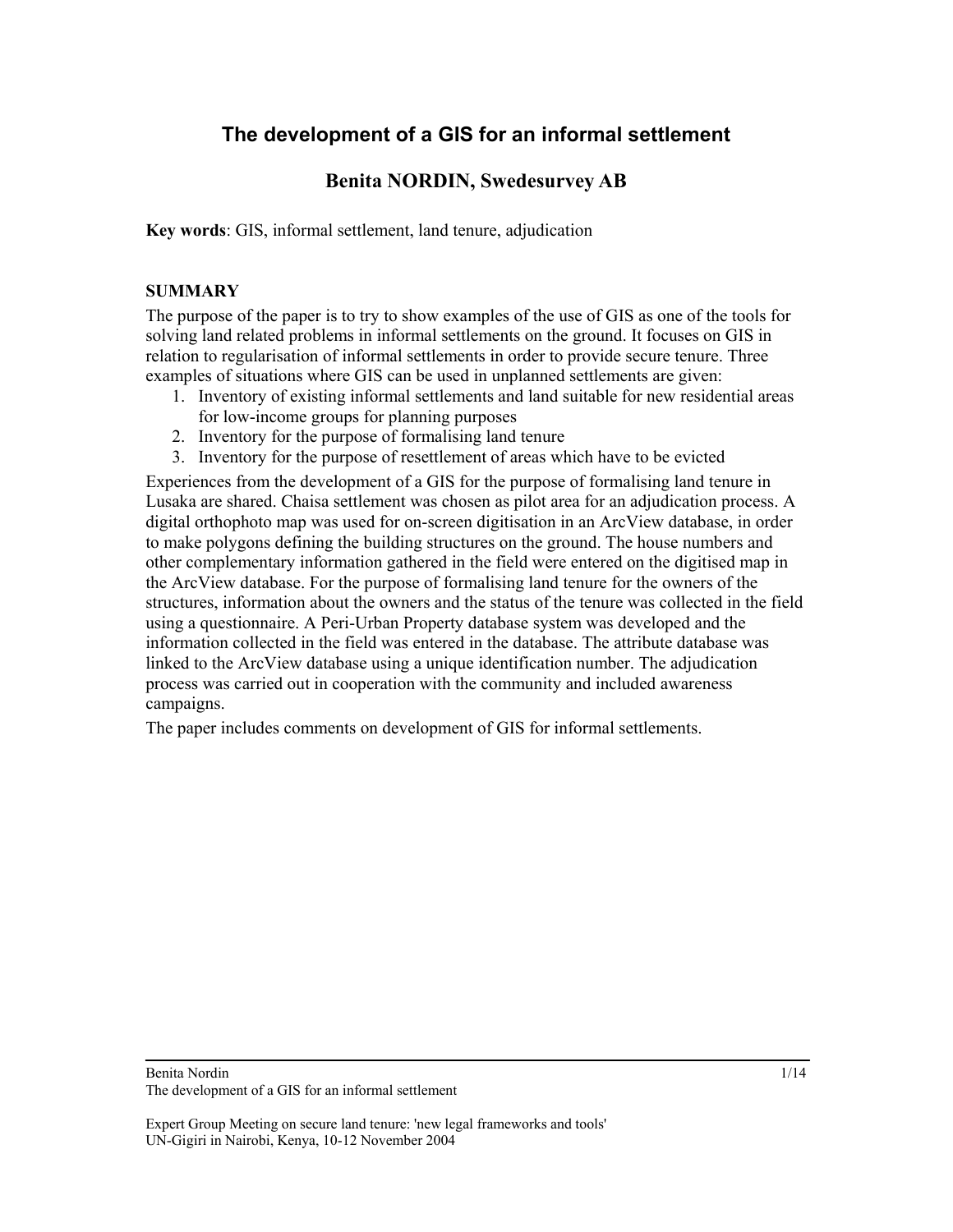# **The development of a GIS for an informal settlement**

# **Benita NORDIN, Swedesurvey AB**

**Key words**: GIS, informal settlement, land tenure, adjudication

# **SUMMARY**

The purpose of the paper is to try to show examples of the use of GIS as one of the tools for solving land related problems in informal settlements on the ground. It focuses on GIS in relation to regularisation of informal settlements in order to provide secure tenure. Three examples of situations where GIS can be used in unplanned settlements are given:

- 1. Inventory of existing informal settlements and land suitable for new residential areas for low-income groups for planning purposes
- 2. Inventory for the purpose of formalising land tenure
- 3. Inventory for the purpose of resettlement of areas which have to be evicted

Experiences from the development of a GIS for the purpose of formalising land tenure in Lusaka are shared. Chaisa settlement was chosen as pilot area for an adjudication process. A digital orthophoto map was used for on-screen digitisation in an ArcView database, in order to make polygons defining the building structures on the ground. The house numbers and other complementary information gathered in the field were entered on the digitised map in the ArcView database. For the purpose of formalising land tenure for the owners of the structures, information about the owners and the status of the tenure was collected in the field using a questionnaire. A Peri-Urban Property database system was developed and the information collected in the field was entered in the database. The attribute database was linked to the ArcView database using a unique identification number. The adjudication process was carried out in cooperation with the community and included awareness campaigns.

The paper includes comments on development of GIS for informal settlements.

# Benita Nordin

The development of a GIS for an informal settlement

Expert Group Meeting on secure land tenure: 'new legal frameworks and tools' UN-Gigiri in Nairobi, Kenya, 10-12 November 2004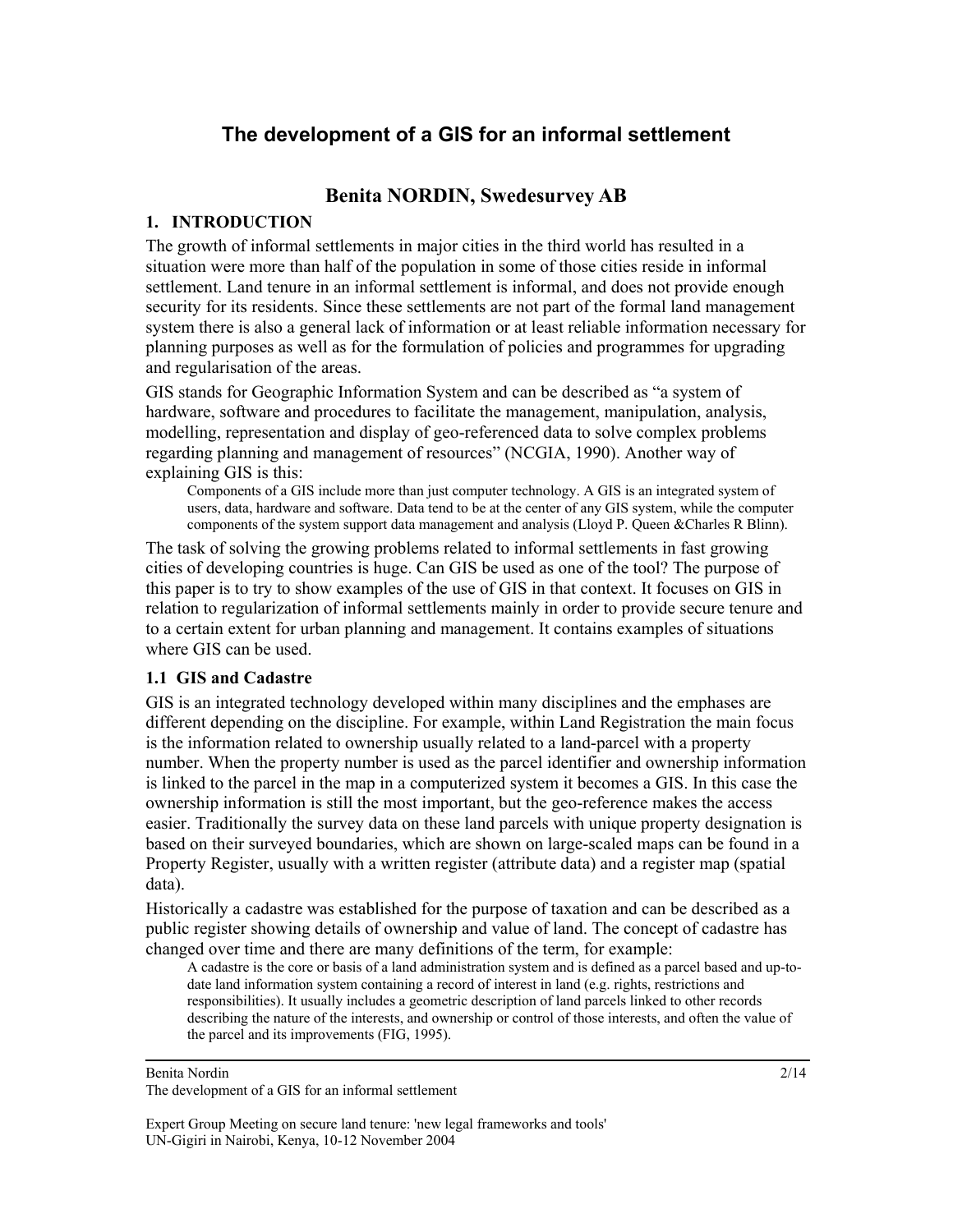# **The development of a GIS for an informal settlement**

# **Benita NORDIN, Swedesurvey AB**

# **1. INTRODUCTION**

The growth of informal settlements in major cities in the third world has resulted in a situation were more than half of the population in some of those cities reside in informal settlement. Land tenure in an informal settlement is informal, and does not provide enough security for its residents. Since these settlements are not part of the formal land management system there is also a general lack of information or at least reliable information necessary for planning purposes as well as for the formulation of policies and programmes for upgrading and regularisation of the areas.

GIS stands for Geographic Information System and can be described as "a system of hardware, software and procedures to facilitate the management, manipulation, analysis, modelling, representation and display of geo-referenced data to solve complex problems regarding planning and management of resources" (NCGIA, 1990). Another way of explaining GIS is this:

Components of a GIS include more than just computer technology. A GIS is an integrated system of users, data, hardware and software. Data tend to be at the center of any GIS system, while the computer components of the system support data management and analysis (Lloyd P. Queen &Charles R Blinn).

The task of solving the growing problems related to informal settlements in fast growing cities of developing countries is huge. Can GIS be used as one of the tool? The purpose of this paper is to try to show examples of the use of GIS in that context. It focuses on GIS in relation to regularization of informal settlements mainly in order to provide secure tenure and to a certain extent for urban planning and management. It contains examples of situations where GIS can be used.

# **1.1 GIS and Cadastre**

GIS is an integrated technology developed within many disciplines and the emphases are different depending on the discipline. For example, within Land Registration the main focus is the information related to ownership usually related to a land-parcel with a property number. When the property number is used as the parcel identifier and ownership information is linked to the parcel in the map in a computerized system it becomes a GIS. In this case the ownership information is still the most important, but the geo-reference makes the access easier. Traditionally the survey data on these land parcels with unique property designation is based on their surveyed boundaries, which are shown on large-scaled maps can be found in a Property Register, usually with a written register (attribute data) and a register map (spatial data).

Historically a cadastre was established for the purpose of taxation and can be described as a public register showing details of ownership and value of land. The concept of cadastre has changed over time and there are many definitions of the term, for example:

A cadastre is the core or basis of a land administration system and is defined as a parcel based and up-todate land information system containing a record of interest in land (e.g. rights, restrictions and responsibilities). It usually includes a geometric description of land parcels linked to other records describing the nature of the interests, and ownership or control of those interests, and often the value of the parcel and its improvements (FIG, 1995).

Benita Nordin The development of a GIS for an informal settlement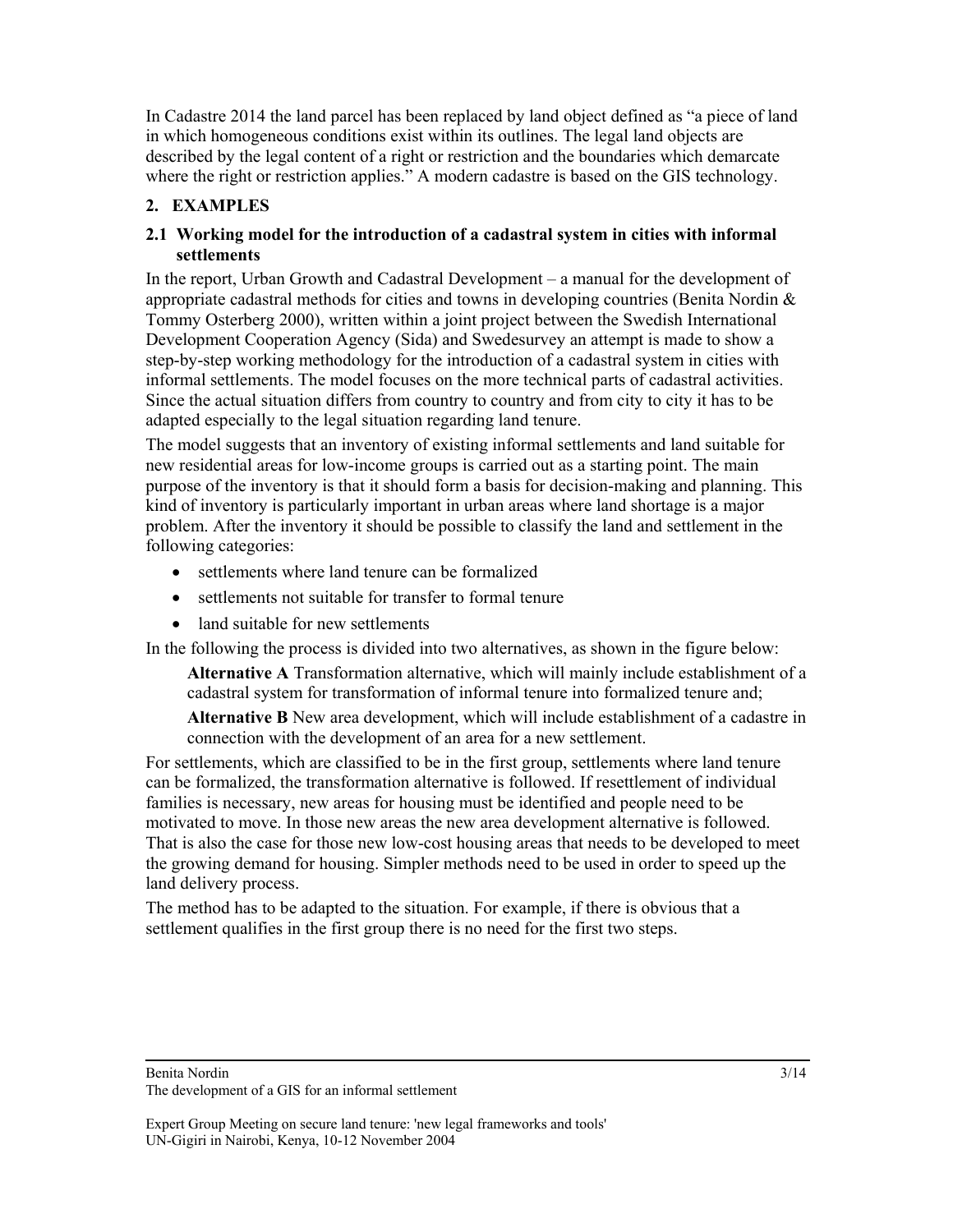In Cadastre 2014 the land parcel has been replaced by land object defined as "a piece of land in which homogeneous conditions exist within its outlines. The legal land objects are described by the legal content of a right or restriction and the boundaries which demarcate where the right or restriction applies." A modern cadastre is based on the GIS technology.

# **2. EXAMPLES**

### **2.1 Working model for the introduction of a cadastral system in cities with informal settlements**

In the report, Urban Growth and Cadastral Development – a manual for the development of appropriate cadastral methods for cities and towns in developing countries (Benita Nordin & Tommy Osterberg 2000), written within a joint project between the Swedish International Development Cooperation Agency (Sida) and Swedesurvey an attempt is made to show a step-by-step working methodology for the introduction of a cadastral system in cities with informal settlements. The model focuses on the more technical parts of cadastral activities. Since the actual situation differs from country to country and from city to city it has to be adapted especially to the legal situation regarding land tenure.

The model suggests that an inventory of existing informal settlements and land suitable for new residential areas for low-income groups is carried out as a starting point. The main purpose of the inventory is that it should form a basis for decision-making and planning. This kind of inventory is particularly important in urban areas where land shortage is a major problem. After the inventory it should be possible to classify the land and settlement in the following categories:

- settlements where land tenure can be formalized
- settlements not suitable for transfer to formal tenure
- land suitable for new settlements

In the following the process is divided into two alternatives, as shown in the figure below:

**Alternative A** Transformation alternative, which will mainly include establishment of a cadastral system for transformation of informal tenure into formalized tenure and;

**Alternative B** New area development, which will include establishment of a cadastre in connection with the development of an area for a new settlement.

For settlements, which are classified to be in the first group, settlements where land tenure can be formalized, the transformation alternative is followed. If resettlement of individual families is necessary, new areas for housing must be identified and people need to be motivated to move. In those new areas the new area development alternative is followed. That is also the case for those new low-cost housing areas that needs to be developed to meet the growing demand for housing. Simpler methods need to be used in order to speed up the land delivery process.

The method has to be adapted to the situation. For example, if there is obvious that a settlement qualifies in the first group there is no need for the first two steps.

Benita Nordin

The development of a GIS for an informal settlement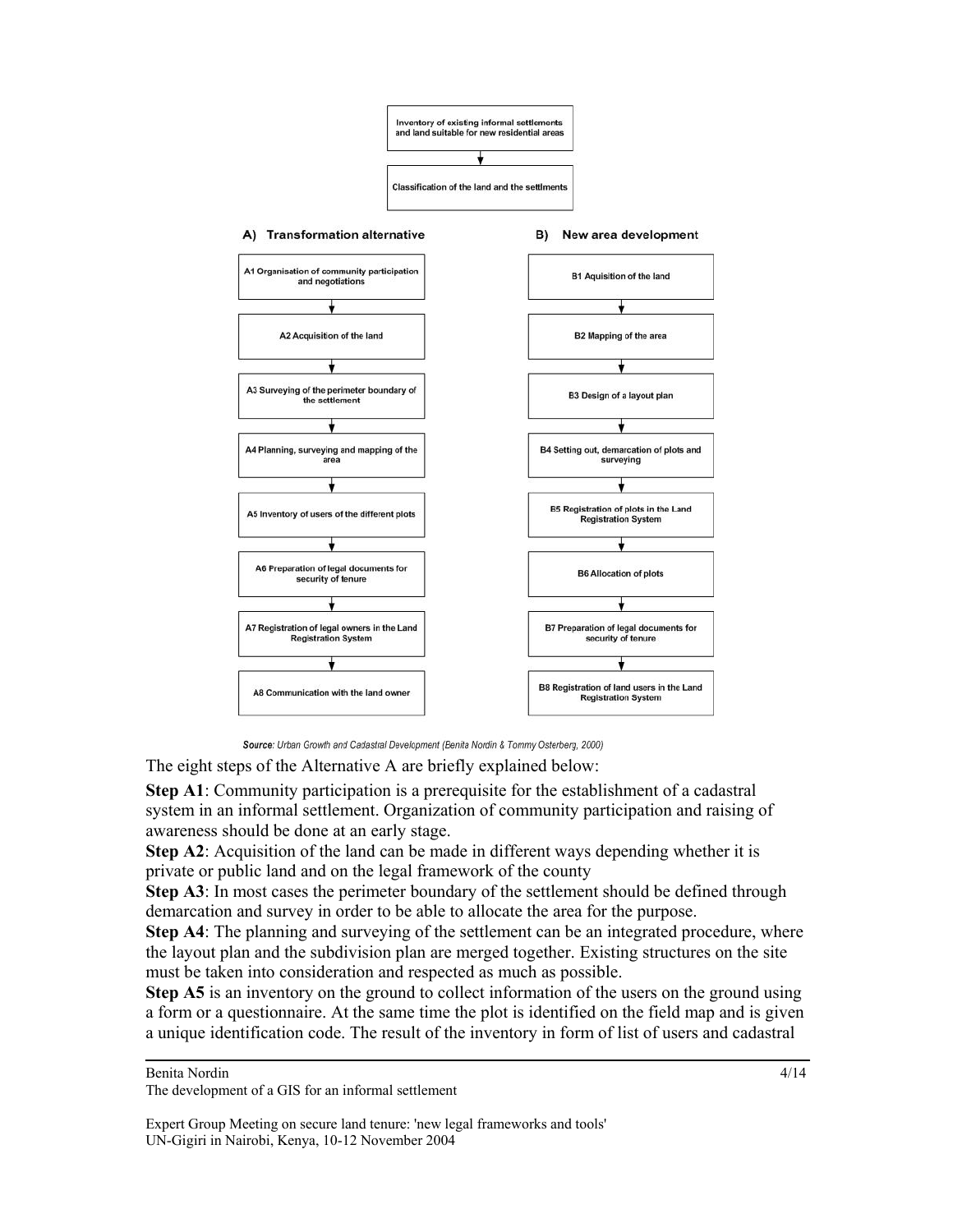

Source: Urban Growth and Cadastral Development (Benita Nordin & Tommy Osterberg, 2000)

The eight steps of the Alternative A are briefly explained below:

**Step A1**: Community participation is a prerequisite for the establishment of a cadastral system in an informal settlement. Organization of community participation and raising of awareness should be done at an early stage.

**Step A2**: Acquisition of the land can be made in different ways depending whether it is private or public land and on the legal framework of the county

**Step A3**: In most cases the perimeter boundary of the settlement should be defined through demarcation and survey in order to be able to allocate the area for the purpose.

**Step A4**: The planning and surveying of the settlement can be an integrated procedure, where the layout plan and the subdivision plan are merged together. Existing structures on the site must be taken into consideration and respected as much as possible.

**Step A5** is an inventory on the ground to collect information of the users on the ground using a form or a questionnaire. At the same time the plot is identified on the field map and is given a unique identification code. The result of the inventory in form of list of users and cadastral

Benita Nordin

4/14

The development of a GIS for an informal settlement

Expert Group Meeting on secure land tenure: 'new legal frameworks and tools' UN-Gigiri in Nairobi, Kenya, 10-12 November 2004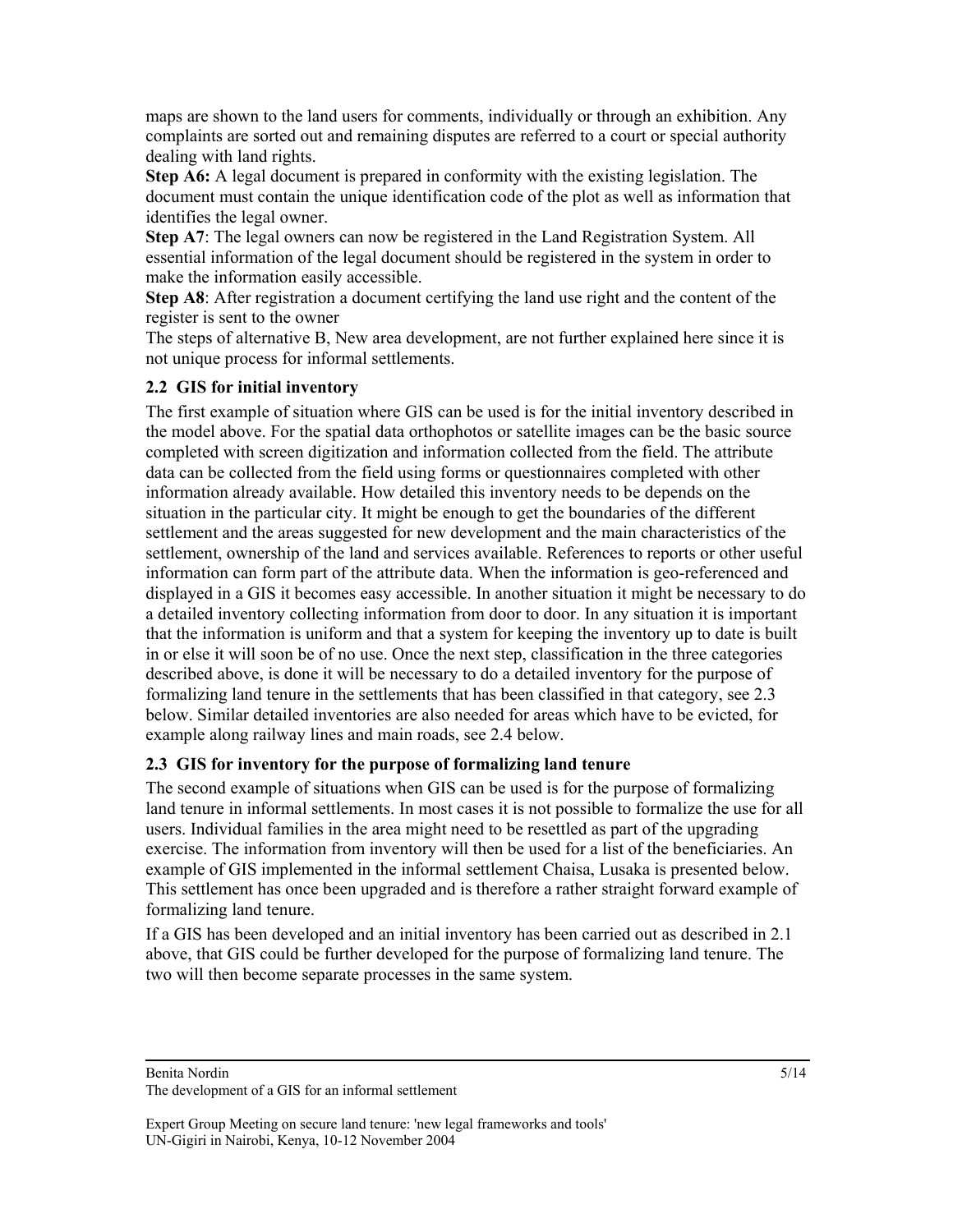maps are shown to the land users for comments, individually or through an exhibition. Any complaints are sorted out and remaining disputes are referred to a court or special authority dealing with land rights.

**Step A6:** A legal document is prepared in conformity with the existing legislation. The document must contain the unique identification code of the plot as well as information that identifies the legal owner.

**Step A7**: The legal owners can now be registered in the Land Registration System. All essential information of the legal document should be registered in the system in order to make the information easily accessible.

**Step A8**: After registration a document certifying the land use right and the content of the register is sent to the owner

The steps of alternative B, New area development, are not further explained here since it is not unique process for informal settlements.

# **2.2 GIS for initial inventory**

The first example of situation where GIS can be used is for the initial inventory described in the model above. For the spatial data orthophotos or satellite images can be the basic source completed with screen digitization and information collected from the field. The attribute data can be collected from the field using forms or questionnaires completed with other information already available. How detailed this inventory needs to be depends on the situation in the particular city. It might be enough to get the boundaries of the different settlement and the areas suggested for new development and the main characteristics of the settlement, ownership of the land and services available. References to reports or other useful information can form part of the attribute data. When the information is geo-referenced and displayed in a GIS it becomes easy accessible. In another situation it might be necessary to do a detailed inventory collecting information from door to door. In any situation it is important that the information is uniform and that a system for keeping the inventory up to date is built in or else it will soon be of no use. Once the next step, classification in the three categories described above, is done it will be necessary to do a detailed inventory for the purpose of formalizing land tenure in the settlements that has been classified in that category, see 2.3 below. Similar detailed inventories are also needed for areas which have to be evicted, for example along railway lines and main roads, see 2.4 below.

# **2.3 GIS for inventory for the purpose of formalizing land tenure**

The second example of situations when GIS can be used is for the purpose of formalizing land tenure in informal settlements. In most cases it is not possible to formalize the use for all users. Individual families in the area might need to be resettled as part of the upgrading exercise. The information from inventory will then be used for a list of the beneficiaries. An example of GIS implemented in the informal settlement Chaisa, Lusaka is presented below. This settlement has once been upgraded and is therefore a rather straight forward example of formalizing land tenure.

If a GIS has been developed and an initial inventory has been carried out as described in 2.1 above, that GIS could be further developed for the purpose of formalizing land tenure. The two will then become separate processes in the same system.

Benita Nordin

The development of a GIS for an informal settlement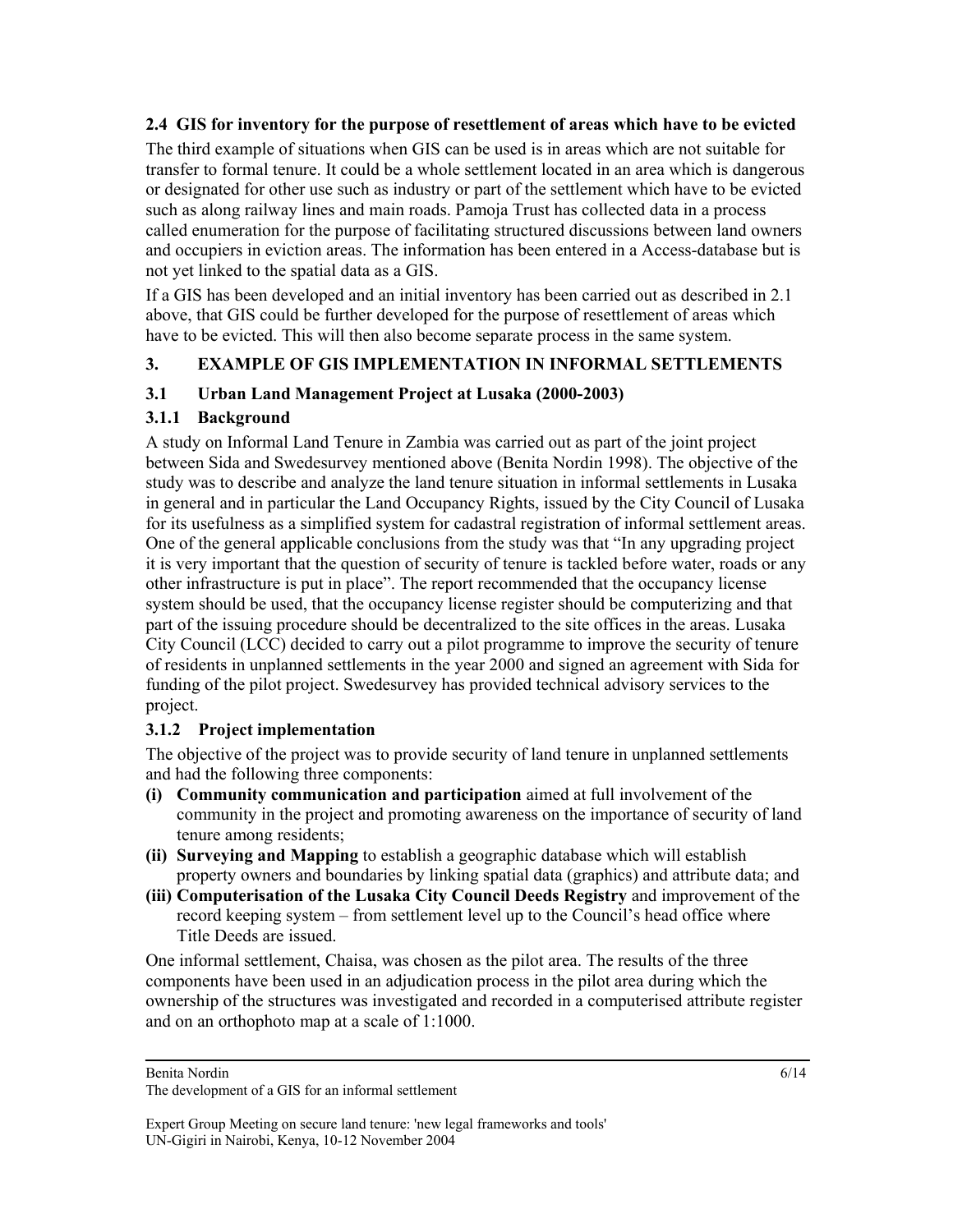# **2.4 GIS for inventory for the purpose of resettlement of areas which have to be evicted**

The third example of situations when GIS can be used is in areas which are not suitable for transfer to formal tenure. It could be a whole settlement located in an area which is dangerous or designated for other use such as industry or part of the settlement which have to be evicted such as along railway lines and main roads. Pamoja Trust has collected data in a process called enumeration for the purpose of facilitating structured discussions between land owners and occupiers in eviction areas. The information has been entered in a Access-database but is not yet linked to the spatial data as a GIS.

If a GIS has been developed and an initial inventory has been carried out as described in 2.1 above, that GIS could be further developed for the purpose of resettlement of areas which have to be evicted. This will then also become separate process in the same system.

# **3. EXAMPLE OF GIS IMPLEMENTATION IN INFORMAL SETTLEMENTS**

# **3.1 Urban Land Management Project at Lusaka (2000-2003)**

# **3.1.1 Background**

A study on Informal Land Tenure in Zambia was carried out as part of the joint project between Sida and Swedesurvey mentioned above (Benita Nordin 1998). The objective of the study was to describe and analyze the land tenure situation in informal settlements in Lusaka in general and in particular the Land Occupancy Rights, issued by the City Council of Lusaka for its usefulness as a simplified system for cadastral registration of informal settlement areas. One of the general applicable conclusions from the study was that "In any upgrading project it is very important that the question of security of tenure is tackled before water, roads or any other infrastructure is put in place". The report recommended that the occupancy license system should be used, that the occupancy license register should be computerizing and that part of the issuing procedure should be decentralized to the site offices in the areas. Lusaka City Council (LCC) decided to carry out a pilot programme to improve the security of tenure of residents in unplanned settlements in the year 2000 and signed an agreement with Sida for funding of the pilot project. Swedesurvey has provided technical advisory services to the project.

# **3.1.2 Project implementation**

The objective of the project was to provide security of land tenure in unplanned settlements and had the following three components:

- **(i) Community communication and participation** aimed at full involvement of the community in the project and promoting awareness on the importance of security of land tenure among residents;
- **(ii) Surveying and Mapping** to establish a geographic database which will establish property owners and boundaries by linking spatial data (graphics) and attribute data; and
- **(iii) Computerisation of the Lusaka City Council Deeds Registry** and improvement of the record keeping system – from settlement level up to the Council's head office where Title Deeds are issued.

One informal settlement, Chaisa, was chosen as the pilot area. The results of the three components have been used in an adjudication process in the pilot area during which the ownership of the structures was investigated and recorded in a computerised attribute register and on an orthophoto map at a scale of 1:1000.

Benita Nordin

The development of a GIS for an informal settlement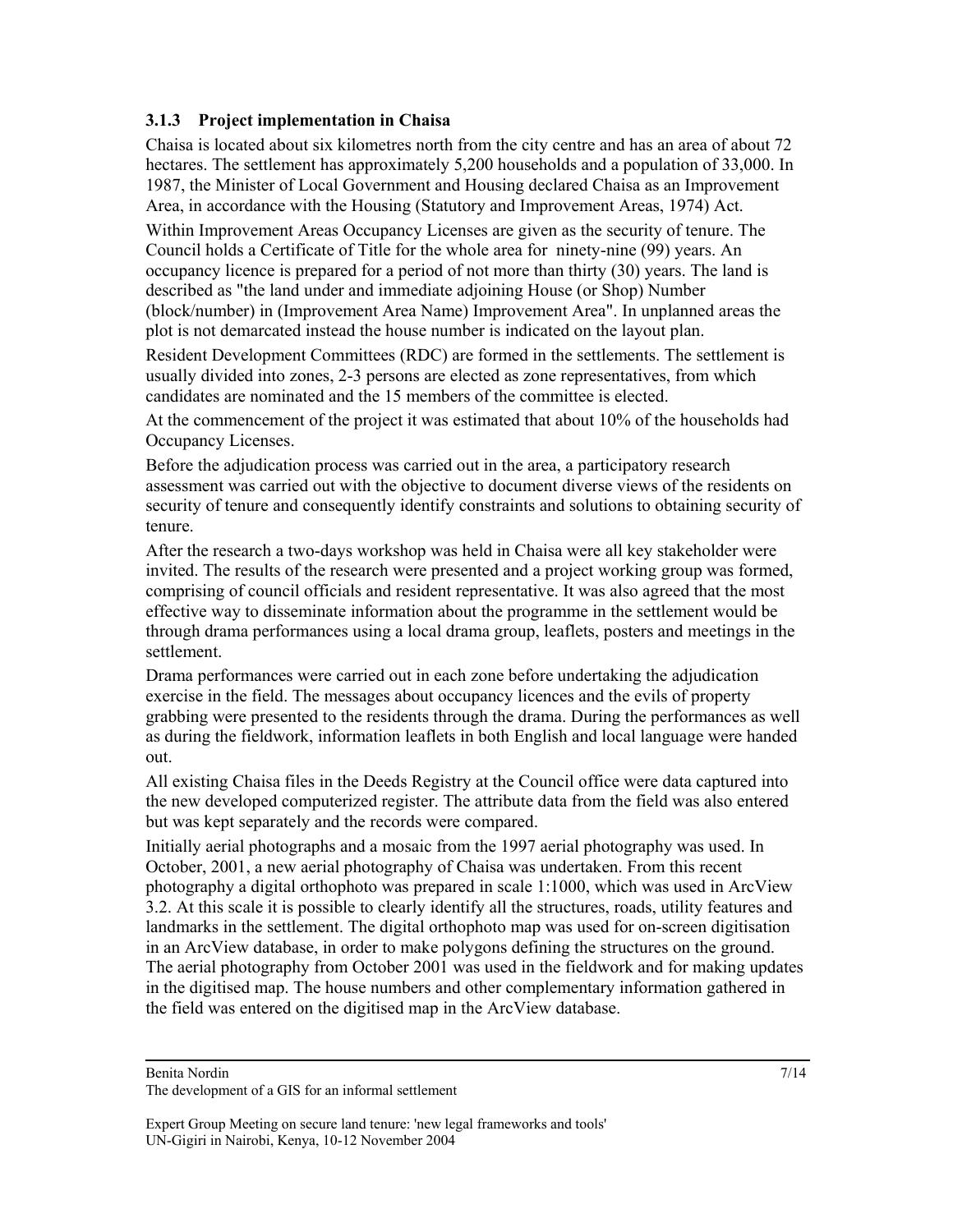# **3.1.3 Project implementation in Chaisa**

Chaisa is located about six kilometres north from the city centre and has an area of about 72 hectares. The settlement has approximately 5,200 households and a population of 33,000. In 1987, the Minister of Local Government and Housing declared Chaisa as an Improvement Area, in accordance with the Housing (Statutory and Improvement Areas, 1974) Act.

Within Improvement Areas Occupancy Licenses are given as the security of tenure. The Council holds a Certificate of Title for the whole area for ninety-nine (99) years. An occupancy licence is prepared for a period of not more than thirty (30) years. The land is described as "the land under and immediate adjoining House (or Shop) Number (block/number) in (Improvement Area Name) Improvement Area". In unplanned areas the plot is not demarcated instead the house number is indicated on the layout plan.

Resident Development Committees (RDC) are formed in the settlements. The settlement is usually divided into zones, 2-3 persons are elected as zone representatives, from which candidates are nominated and the 15 members of the committee is elected.

At the commencement of the project it was estimated that about 10% of the households had Occupancy Licenses.

Before the adjudication process was carried out in the area, a participatory research assessment was carried out with the objective to document diverse views of the residents on security of tenure and consequently identify constraints and solutions to obtaining security of tenure.

After the research a two-days workshop was held in Chaisa were all key stakeholder were invited. The results of the research were presented and a project working group was formed, comprising of council officials and resident representative. It was also agreed that the most effective way to disseminate information about the programme in the settlement would be through drama performances using a local drama group, leaflets, posters and meetings in the settlement.

Drama performances were carried out in each zone before undertaking the adjudication exercise in the field. The messages about occupancy licences and the evils of property grabbing were presented to the residents through the drama. During the performances as well as during the fieldwork, information leaflets in both English and local language were handed out.

All existing Chaisa files in the Deeds Registry at the Council office were data captured into the new developed computerized register. The attribute data from the field was also entered but was kept separately and the records were compared.

Initially aerial photographs and a mosaic from the 1997 aerial photography was used. In October, 2001, a new aerial photography of Chaisa was undertaken. From this recent photography a digital orthophoto was prepared in scale 1:1000, which was used in ArcView 3.2. At this scale it is possible to clearly identify all the structures, roads, utility features and landmarks in the settlement. The digital orthophoto map was used for on-screen digitisation in an ArcView database, in order to make polygons defining the structures on the ground. The aerial photography from October 2001 was used in the fieldwork and for making updates in the digitised map. The house numbers and other complementary information gathered in the field was entered on the digitised map in the ArcView database.

Benita Nordin

The development of a GIS for an informal settlement

Expert Group Meeting on secure land tenure: 'new legal frameworks and tools' UN-Gigiri in Nairobi, Kenya, 10-12 November 2004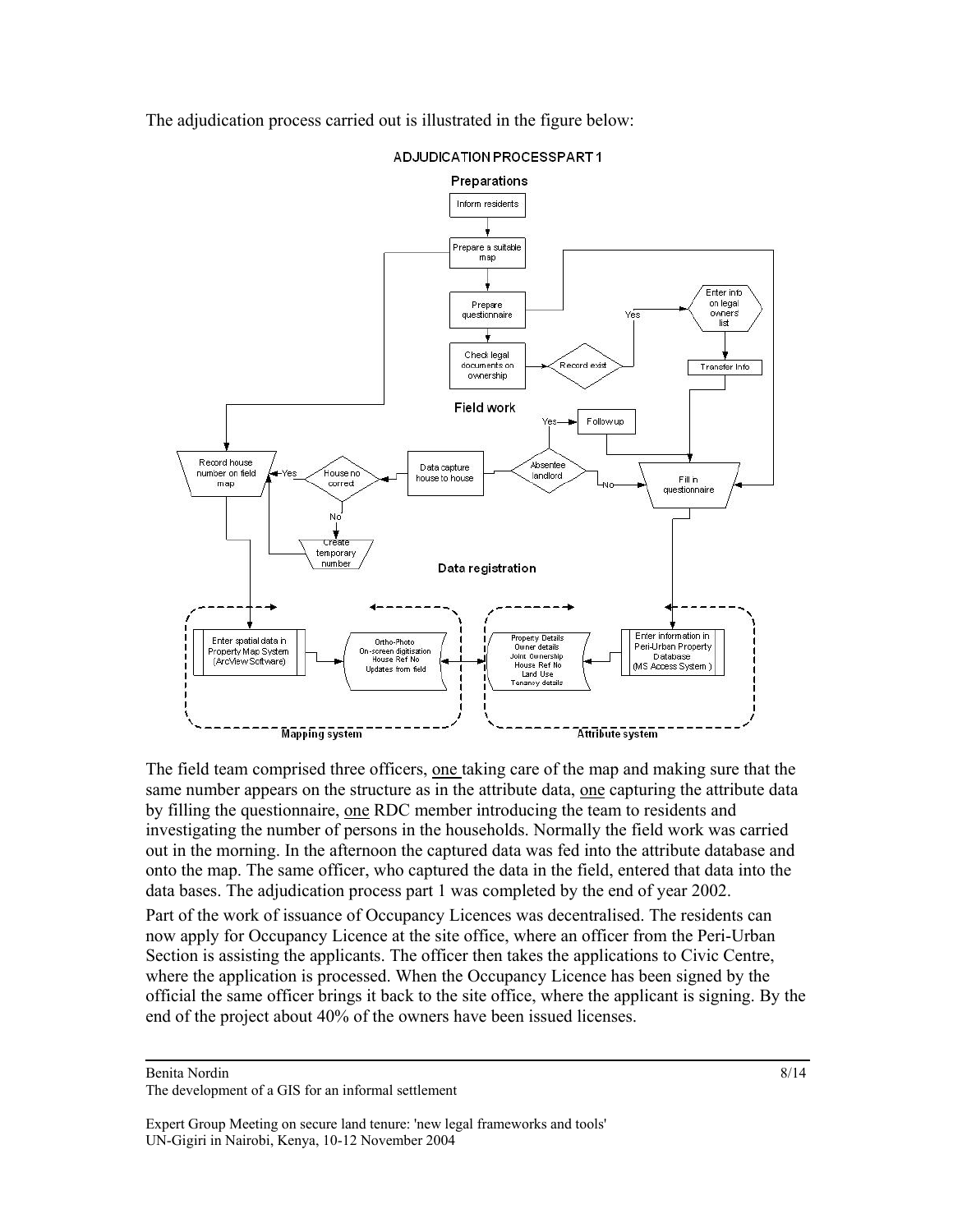The adjudication process carried out is illustrated in the figure below:



ADJUDICATION PROCESSPART1

The field team comprised three officers, one taking care of the map and making sure that the same number appears on the structure as in the attribute data, one capturing the attribute data by filling the questionnaire, <u>one</u> RDC member introducing the team to residents and investigating the number of persons in the households. Normally the field work was carried out in the morning. In the afternoon the captured data was fed into the attribute database and onto the map. The same officer, who captured the data in the field, entered that data into the data bases. The adjudication process part 1 was completed by the end of year 2002.

Part of the work of issuance of Occupancy Licences was decentralised. The residents can now apply for Occupancy Licence at the site office, where an officer from the Peri-Urban Section is assisting the applicants. The officer then takes the applications to Civic Centre, where the application is processed. When the Occupancy Licence has been signed by the official the same officer brings it back to the site office, where the applicant is signing. By the end of the project about 40% of the owners have been issued licenses.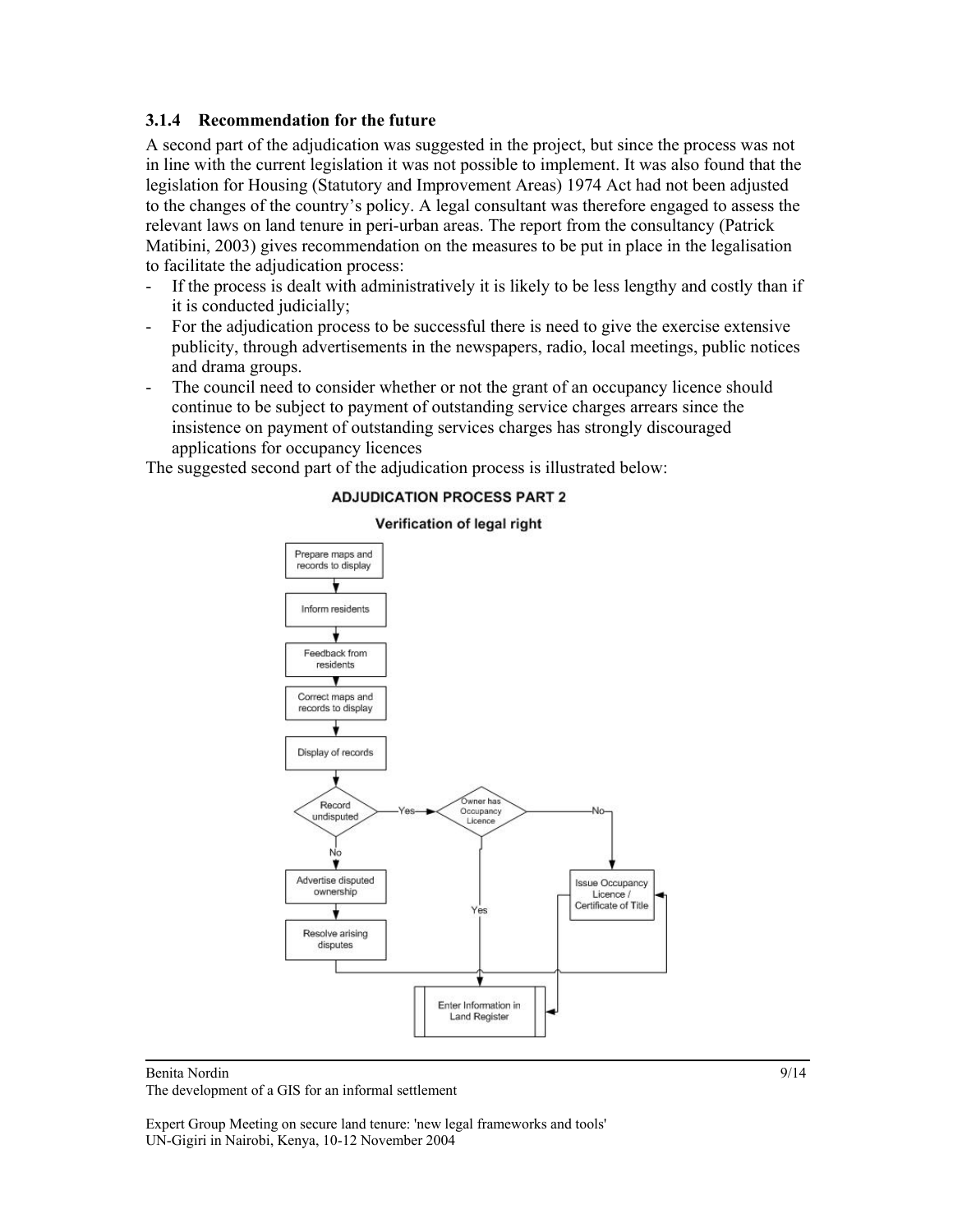### **3.1.4 Recommendation for the future**

A second part of the adjudication was suggested in the project, but since the process was not in line with the current legislation it was not possible to implement. It was also found that the legislation for Housing (Statutory and Improvement Areas) 1974 Act had not been adjusted to the changes of the country's policy. A legal consultant was therefore engaged to assess the relevant laws on land tenure in peri-urban areas. The report from the consultancy (Patrick Matibini, 2003) gives recommendation on the measures to be put in place in the legalisation to facilitate the adjudication process:

- If the process is dealt with administratively it is likely to be less lengthy and costly than if it is conducted judicially;
- For the adjudication process to be successful there is need to give the exercise extensive publicity, through advertisements in the newspapers, radio, local meetings, public notices and drama groups.
- The council need to consider whether or not the grant of an occupancy licence should continue to be subject to payment of outstanding service charges arrears since the insistence on payment of outstanding services charges has strongly discouraged applications for occupancy licences

The suggested second part of the adjudication process is illustrated below:

#### **ADJUDICATION PROCESS PART 2**



#### Verification of legal right

Benita Nordin

The development of a GIS for an informal settlement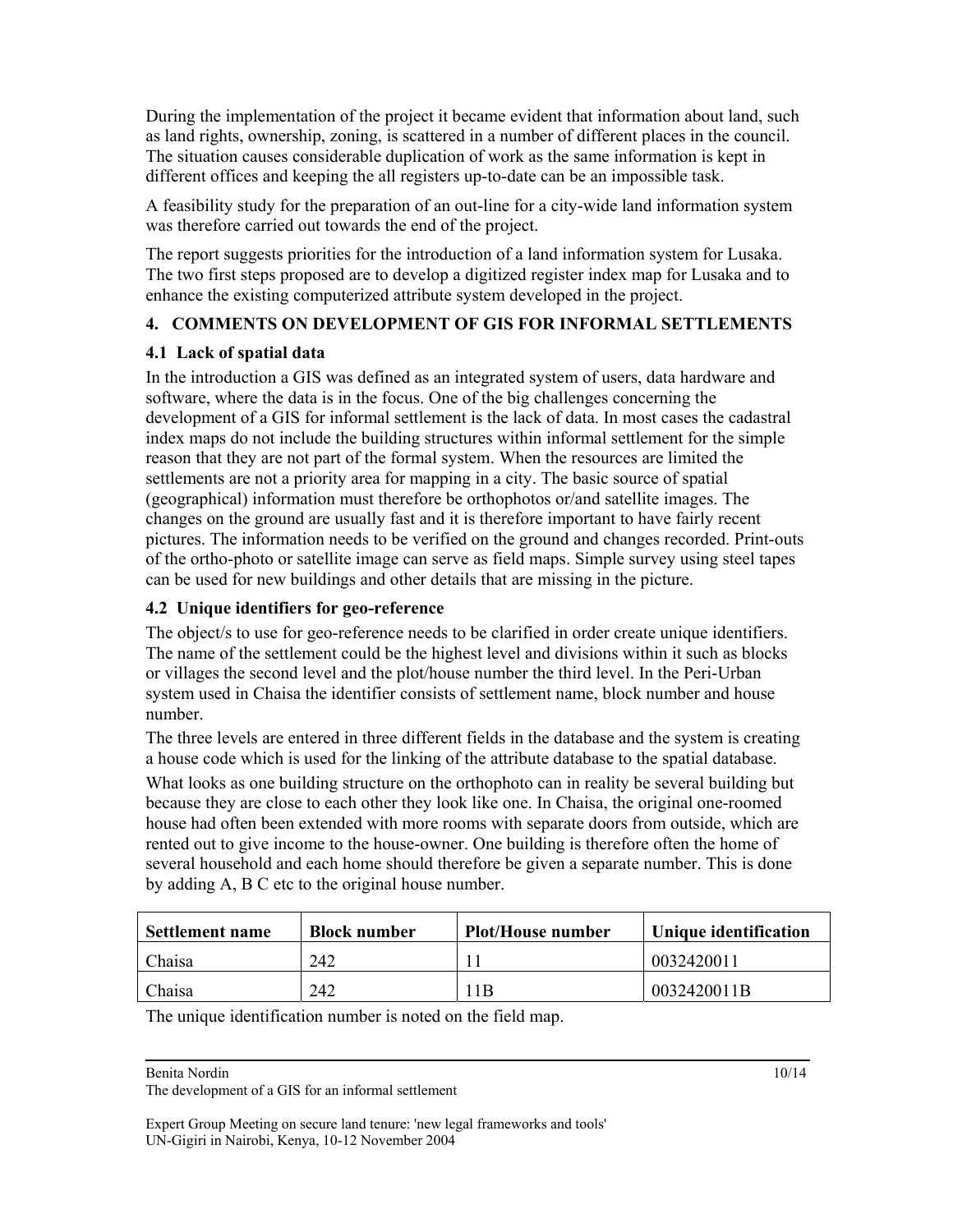During the implementation of the project it became evident that information about land, such as land rights, ownership, zoning, is scattered in a number of different places in the council. The situation causes considerable duplication of work as the same information is kept in different offices and keeping the all registers up-to-date can be an impossible task.

A feasibility study for the preparation of an out-line for a city-wide land information system was therefore carried out towards the end of the project.

The report suggests priorities for the introduction of a land information system for Lusaka. The two first steps proposed are to develop a digitized register index map for Lusaka and to enhance the existing computerized attribute system developed in the project.

# **4. COMMENTS ON DEVELOPMENT OF GIS FOR INFORMAL SETTLEMENTS**

# **4.1 Lack of spatial data**

In the introduction a GIS was defined as an integrated system of users, data hardware and software, where the data is in the focus. One of the big challenges concerning the development of a GIS for informal settlement is the lack of data. In most cases the cadastral index maps do not include the building structures within informal settlement for the simple reason that they are not part of the formal system. When the resources are limited the settlements are not a priority area for mapping in a city. The basic source of spatial (geographical) information must therefore be orthophotos or/and satellite images. The changes on the ground are usually fast and it is therefore important to have fairly recent pictures. The information needs to be verified on the ground and changes recorded. Print-outs of the ortho-photo or satellite image can serve as field maps. Simple survey using steel tapes can be used for new buildings and other details that are missing in the picture.

# **4.2 Unique identifiers for geo-reference**

The object/s to use for geo-reference needs to be clarified in order create unique identifiers. The name of the settlement could be the highest level and divisions within it such as blocks or villages the second level and the plot/house number the third level. In the Peri-Urban system used in Chaisa the identifier consists of settlement name, block number and house number.

The three levels are entered in three different fields in the database and the system is creating a house code which is used for the linking of the attribute database to the spatial database.

What looks as one building structure on the orthophoto can in reality be several building but because they are close to each other they look like one. In Chaisa, the original one-roomed house had often been extended with more rooms with separate doors from outside, which are rented out to give income to the house-owner. One building is therefore often the home of several household and each home should therefore be given a separate number. This is done by adding A, B C etc to the original house number.

| <b>Settlement name</b> | <b>Block number</b> | Plot/House number | Unique identification |
|------------------------|---------------------|-------------------|-----------------------|
| Chaisa                 | 242                 |                   | 0032420011            |
| Chaisa                 | 242                 | 1 B               | 0032420011B           |

The unique identification number is noted on the field map.

Benita Nordin

The development of a GIS for an informal settlement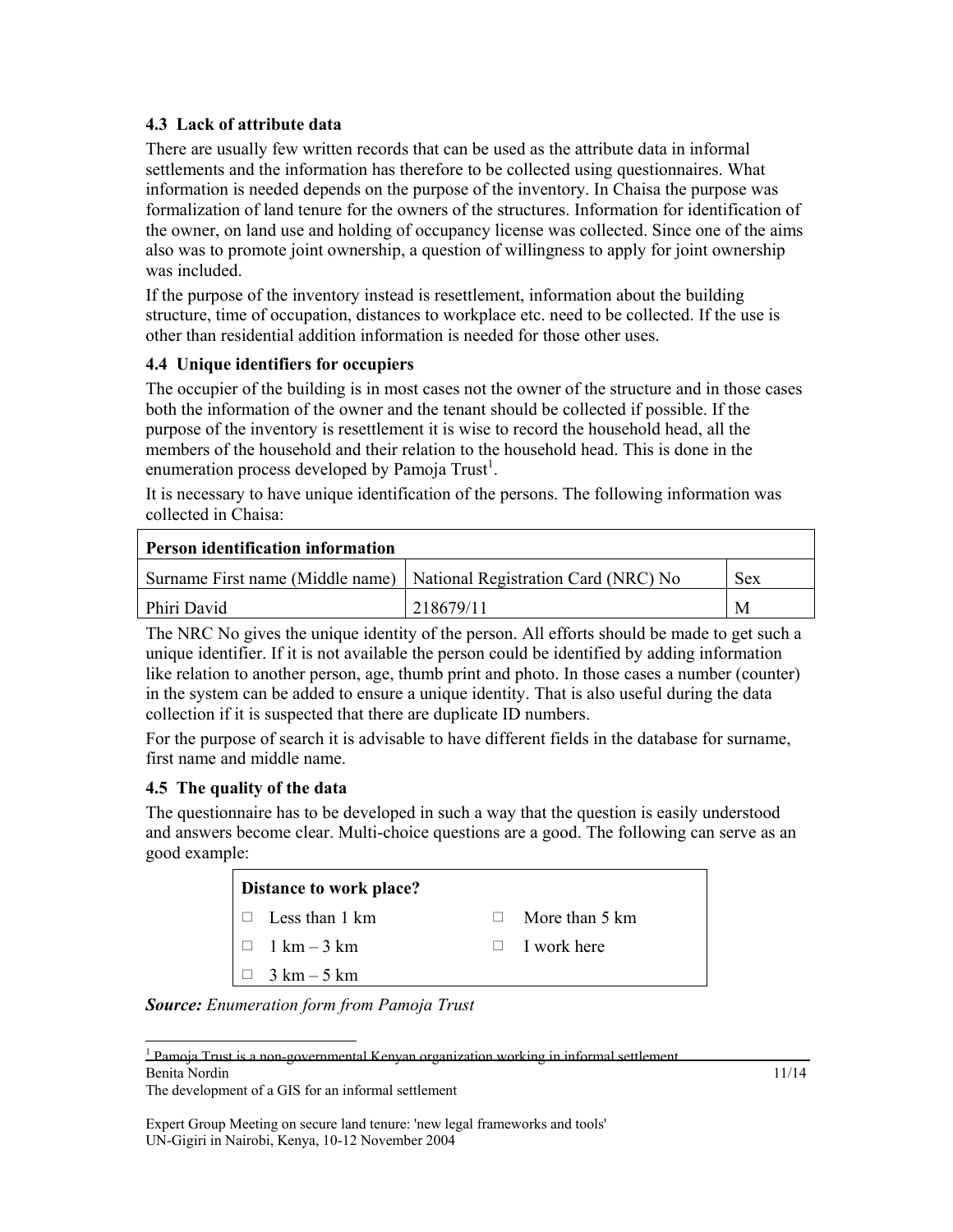# **4.3 Lack of attribute data**

There are usually few written records that can be used as the attribute data in informal settlements and the information has therefore to be collected using questionnaires. What information is needed depends on the purpose of the inventory. In Chaisa the purpose was formalization of land tenure for the owners of the structures. Information for identification of the owner, on land use and holding of occupancy license was collected. Since one of the aims also was to promote joint ownership, a question of willingness to apply for joint ownership was included.

If the purpose of the inventory instead is resettlement, information about the building structure, time of occupation, distances to workplace etc. need to be collected. If the use is other than residential addition information is needed for those other uses.

# **4.4 Unique identifiers for occupiers**

The occupier of the building is in most cases not the owner of the structure and in those cases both the information of the owner and the tenant should be collected if possible. If the purpose of the inventory is resettlement it is wise to record the household head, all the members of the household and their relation to the household head. This is done in the enumeration process developed by Pamoja Trust<sup>1</sup>.

It is necessary to have unique identification of the persons. The following information was collected in Chaisa:

| <b>Person identification information</b> |                                                                        |     |  |  |
|------------------------------------------|------------------------------------------------------------------------|-----|--|--|
|                                          | Surname First name (Middle name)   National Registration Card (NRC) No | Sex |  |  |
| Phiri David                              | 218679/11                                                              | M   |  |  |

The NRC No gives the unique identity of the person. All efforts should be made to get such a unique identifier. If it is not available the person could be identified by adding information like relation to another person, age, thumb print and photo. In those cases a number (counter) in the system can be added to ensure a unique identity. That is also useful during the data collection if it is suspected that there are duplicate ID numbers.

For the purpose of search it is advisable to have different fields in the database for surname, first name and middle name.

# **4.5 The quality of the data**

l

The questionnaire has to be developed in such a way that the question is easily understood and answers become clear. Multi-choice questions are a good. The following can serve as an good example:

| Distance to work place? |                          |  |  |  |
|-------------------------|--------------------------|--|--|--|
| $\Box$ Less than 1 km   | More than 5 km<br>$\Box$ |  |  |  |
| $\Box$ 1 km – 3 km      | $\Box$ I work here       |  |  |  |
| $\Box$ 3 km – 5 km      |                          |  |  |  |

*Source: Enumeration form from Pamoja Trust* 

Benita Nordin <sup>1</sup> Pamoja Trust is a non-governmental Kenyan organization working in informal settlement.

The development of a GIS for an informal settlement

Expert Group Meeting on secure land tenure: 'new legal frameworks and tools' UN-Gigiri in Nairobi, Kenya, 10-12 November 2004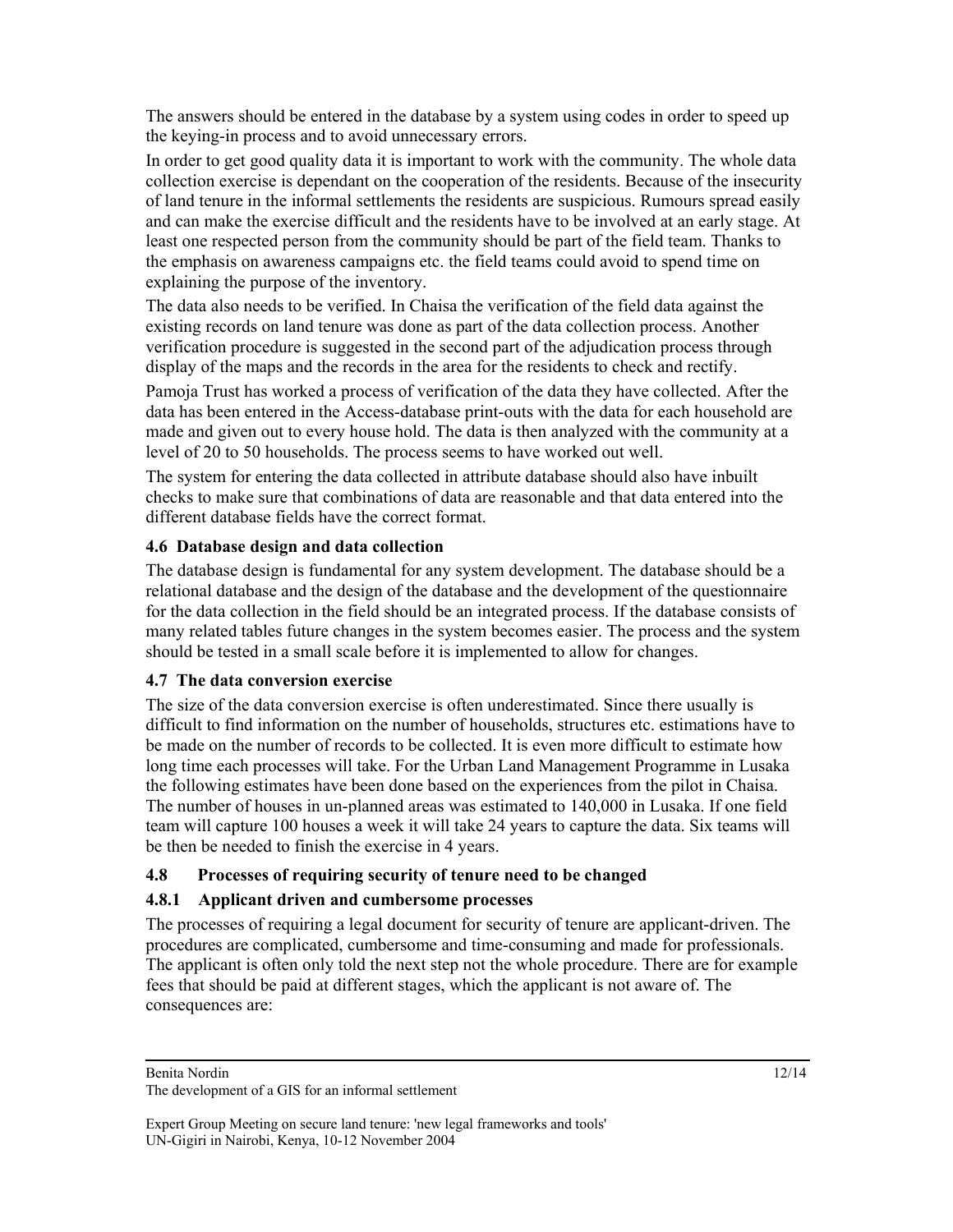The answers should be entered in the database by a system using codes in order to speed up the keying-in process and to avoid unnecessary errors.

In order to get good quality data it is important to work with the community. The whole data collection exercise is dependant on the cooperation of the residents. Because of the insecurity of land tenure in the informal settlements the residents are suspicious. Rumours spread easily and can make the exercise difficult and the residents have to be involved at an early stage. At least one respected person from the community should be part of the field team. Thanks to the emphasis on awareness campaigns etc. the field teams could avoid to spend time on explaining the purpose of the inventory.

The data also needs to be verified. In Chaisa the verification of the field data against the existing records on land tenure was done as part of the data collection process. Another verification procedure is suggested in the second part of the adjudication process through display of the maps and the records in the area for the residents to check and rectify.

Pamoja Trust has worked a process of verification of the data they have collected. After the data has been entered in the Access-database print-outs with the data for each household are made and given out to every house hold. The data is then analyzed with the community at a level of 20 to 50 households. The process seems to have worked out well.

The system for entering the data collected in attribute database should also have inbuilt checks to make sure that combinations of data are reasonable and that data entered into the different database fields have the correct format.

# **4.6 Database design and data collection**

The database design is fundamental for any system development. The database should be a relational database and the design of the database and the development of the questionnaire for the data collection in the field should be an integrated process. If the database consists of many related tables future changes in the system becomes easier. The process and the system should be tested in a small scale before it is implemented to allow for changes.

# **4.7 The data conversion exercise**

The size of the data conversion exercise is often underestimated. Since there usually is difficult to find information on the number of households, structures etc. estimations have to be made on the number of records to be collected. It is even more difficult to estimate how long time each processes will take. For the Urban Land Management Programme in Lusaka the following estimates have been done based on the experiences from the pilot in Chaisa. The number of houses in un-planned areas was estimated to 140,000 in Lusaka. If one field team will capture 100 houses a week it will take 24 years to capture the data. Six teams will be then be needed to finish the exercise in 4 years.

# **4.8 Processes of requiring security of tenure need to be changed**

# **4.8.1 Applicant driven and cumbersome processes**

The processes of requiring a legal document for security of tenure are applicant-driven. The procedures are complicated, cumbersome and time-consuming and made for professionals. The applicant is often only told the next step not the whole procedure. There are for example fees that should be paid at different stages, which the applicant is not aware of. The consequences are:

The development of a GIS for an informal settlement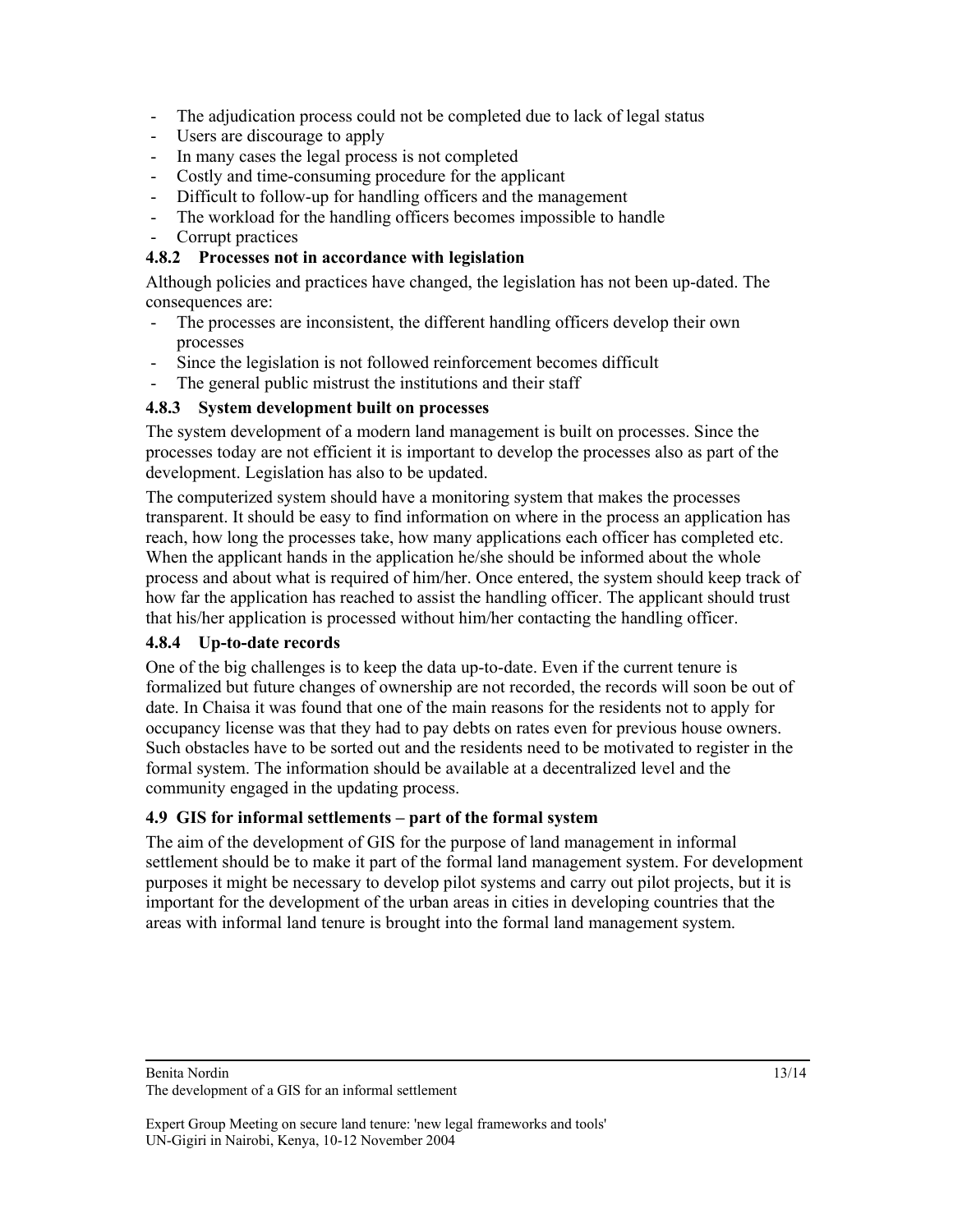- The adjudication process could not be completed due to lack of legal status
- Users are discourage to apply
- In many cases the legal process is not completed
- Costly and time-consuming procedure for the applicant
- Difficult to follow-up for handling officers and the management
- The workload for the handling officers becomes impossible to handle
- Corrupt practices

### **4.8.2 Processes not in accordance with legislation**

Although policies and practices have changed, the legislation has not been up-dated. The consequences are:

- The processes are inconsistent, the different handling officers develop their own processes
- Since the legislation is not followed reinforcement becomes difficult
- The general public mistrust the institutions and their staff

### **4.8.3 System development built on processes**

The system development of a modern land management is built on processes. Since the processes today are not efficient it is important to develop the processes also as part of the development. Legislation has also to be updated.

The computerized system should have a monitoring system that makes the processes transparent. It should be easy to find information on where in the process an application has reach, how long the processes take, how many applications each officer has completed etc. When the applicant hands in the application he/she should be informed about the whole process and about what is required of him/her. Once entered, the system should keep track of how far the application has reached to assist the handling officer. The applicant should trust that his/her application is processed without him/her contacting the handling officer.

#### **4.8.4 Up-to-date records**

One of the big challenges is to keep the data up-to-date. Even if the current tenure is formalized but future changes of ownership are not recorded, the records will soon be out of date. In Chaisa it was found that one of the main reasons for the residents not to apply for occupancy license was that they had to pay debts on rates even for previous house owners. Such obstacles have to be sorted out and the residents need to be motivated to register in the formal system. The information should be available at a decentralized level and the community engaged in the updating process.

# **4.9 GIS for informal settlements – part of the formal system**

The aim of the development of GIS for the purpose of land management in informal settlement should be to make it part of the formal land management system. For development purposes it might be necessary to develop pilot systems and carry out pilot projects, but it is important for the development of the urban areas in cities in developing countries that the areas with informal land tenure is brought into the formal land management system.

Benita Nordin

The development of a GIS for an informal settlement